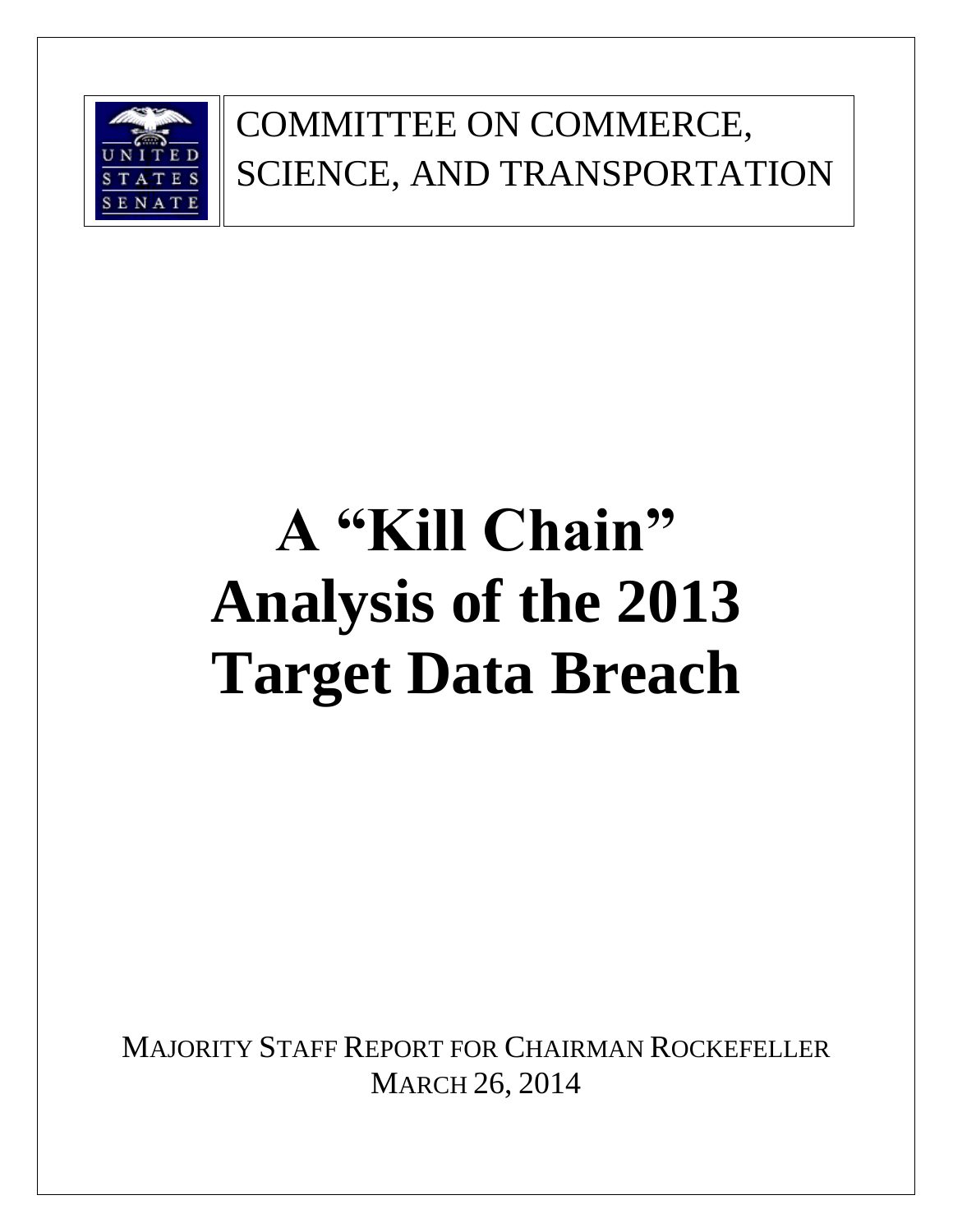

### COMMITTEE ON COMMERCE, SCIENCE, AND TRANSPORTATION

# **A "Kill Chain" Analysis of the 2013 Target Data Breach**

MAJORITY STAFF REPORT FOR CHAIRMAN ROCKEFELLER MARCH 26, 2014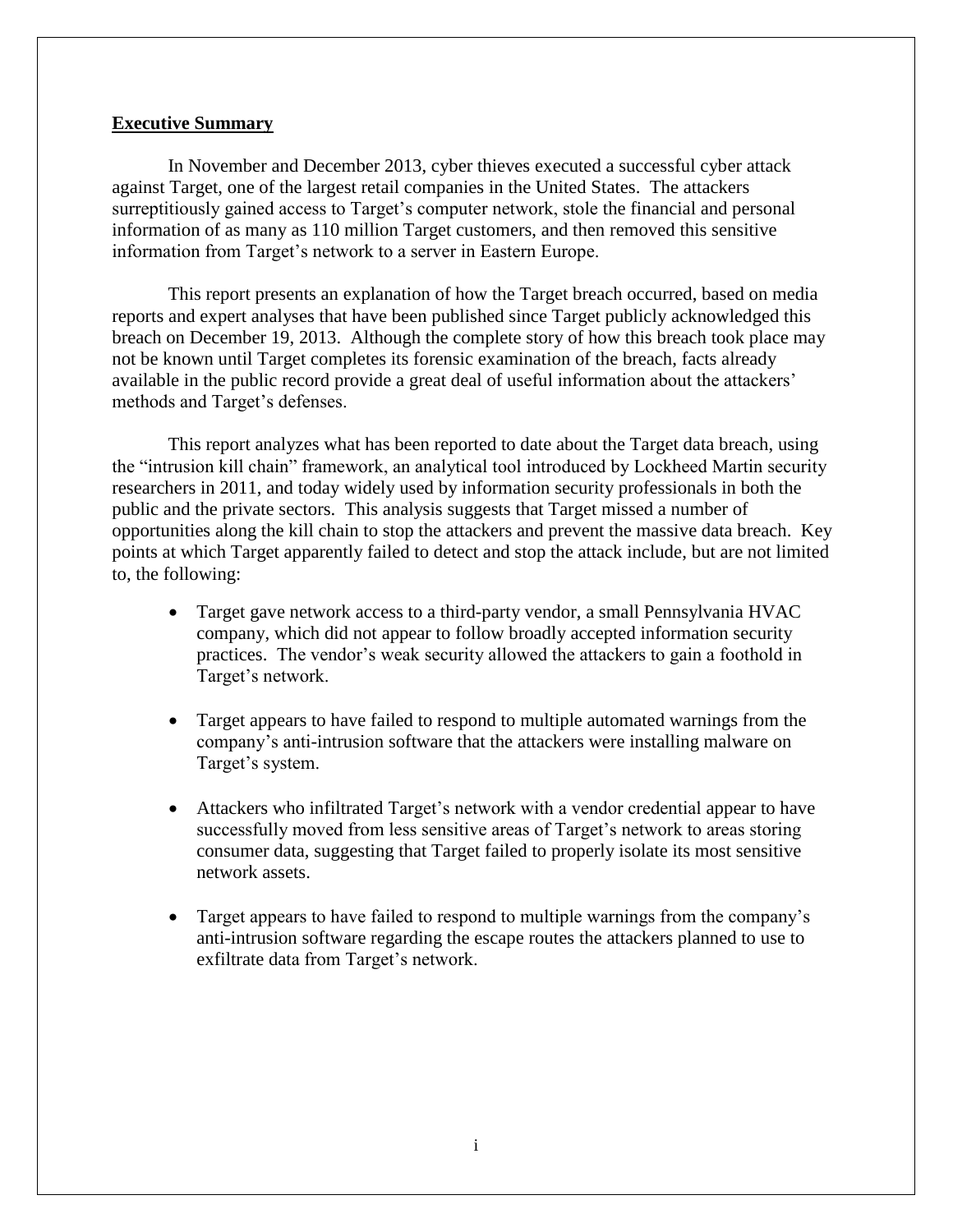#### **Executive Summary**

In November and December 2013, cyber thieves executed a successful cyber attack against Target, one of the largest retail companies in the United States. The attackers surreptitiously gained access to Target's computer network, stole the financial and personal information of as many as 110 million Target customers, and then removed this sensitive information from Target's network to a server in Eastern Europe.

This report presents an explanation of how the Target breach occurred, based on media reports and expert analyses that have been published since Target publicly acknowledged this breach on December 19, 2013. Although the complete story of how this breach took place may not be known until Target completes its forensic examination of the breach, facts already available in the public record provide a great deal of useful information about the attackers' methods and Target's defenses.

This report analyzes what has been reported to date about the Target data breach, using the "intrusion kill chain" framework, an analytical tool introduced by Lockheed Martin security researchers in 2011, and today widely used by information security professionals in both the public and the private sectors. This analysis suggests that Target missed a number of opportunities along the kill chain to stop the attackers and prevent the massive data breach. Key points at which Target apparently failed to detect and stop the attack include, but are not limited to, the following:

- Target gave network access to a third-party vendor, a small Pennsylvania HVAC company, which did not appear to follow broadly accepted information security practices. The vendor's weak security allowed the attackers to gain a foothold in Target's network.
- Target appears to have failed to respond to multiple automated warnings from the company's anti-intrusion software that the attackers were installing malware on Target's system.
- Attackers who infiltrated Target's network with a vendor credential appear to have successfully moved from less sensitive areas of Target's network to areas storing consumer data, suggesting that Target failed to properly isolate its most sensitive network assets.
- Target appears to have failed to respond to multiple warnings from the company's anti-intrusion software regarding the escape routes the attackers planned to use to exfiltrate data from Target's network.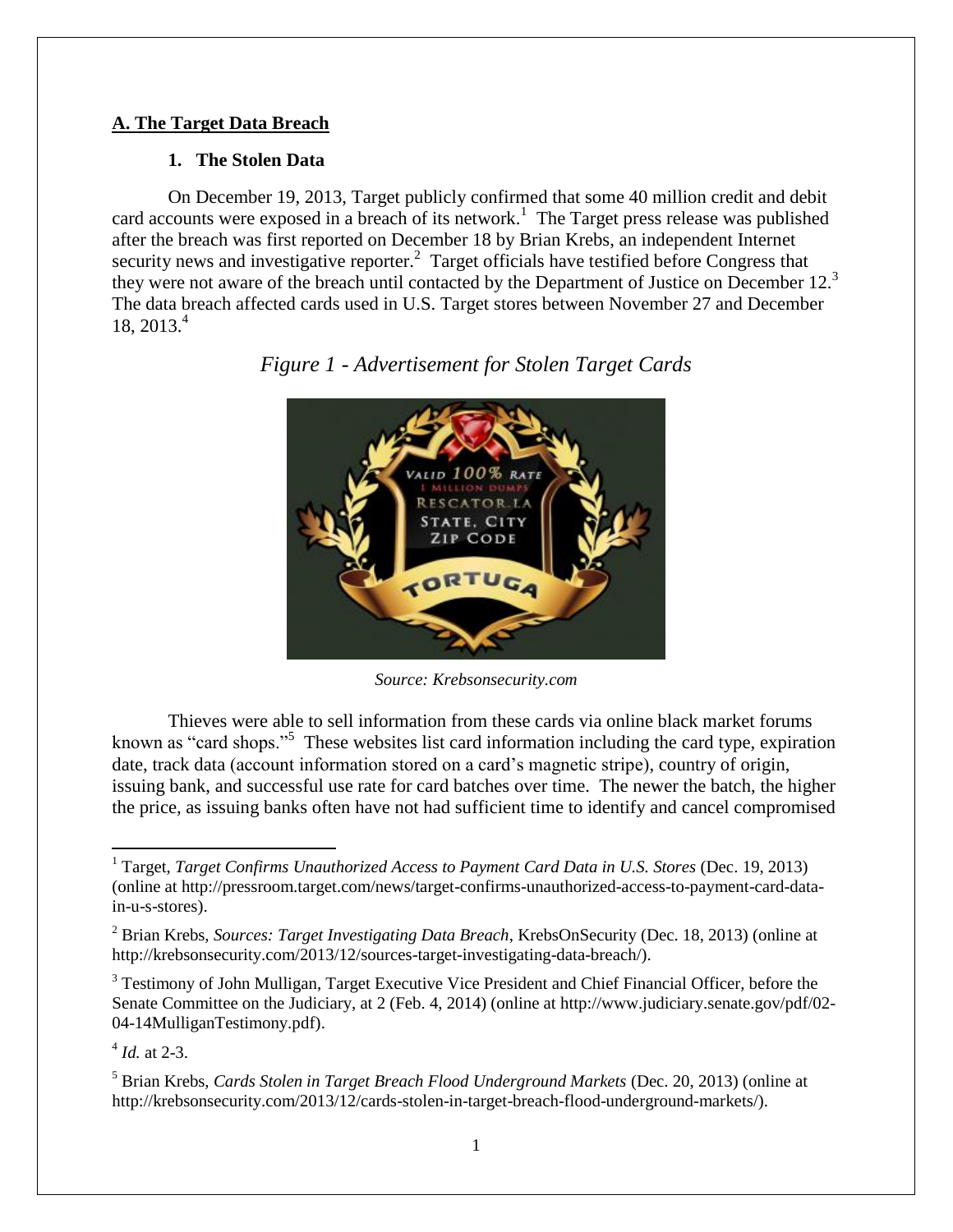#### **A. The Target Data Breach**

#### **1. The Stolen Data**

On December 19, 2013, Target publicly confirmed that some 40 million credit and debit card accounts were exposed in a breach of its network.<sup>1</sup> The Target press release was published after the breach was first reported on December 18 by Brian Krebs, an independent Internet security news and investigative reporter.<sup>2</sup> Target officials have testified before Congress that they were not aware of the breach until contacted by the Department of Justice on December 12.<sup>3</sup> The data breach affected cards used in U.S. Target stores between November 27 and December 18, 2013.<sup>4</sup>



*Figure 1 - Advertisement for Stolen Target Cards*

*Source: Krebsonsecurity.com*

Thieves were able to sell information from these cards via online black market forums known as "card shops."<sup>5</sup> These websites list card information including the card type, expiration date, track data (account information stored on a card's magnetic stripe), country of origin, issuing bank, and successful use rate for card batches over time. The newer the batch, the higher the price, as issuing banks often have not had sufficient time to identify and cancel compromised

<sup>3</sup> Testimony of John Mulligan, Target Executive Vice President and Chief Financial Officer, before the Senate Committee on the Judiciary, at 2 (Feb. 4, 2014) (online at http://www.judiciary.senate.gov/pdf/02- 04-14MulliganTestimony.pdf).

4 *Id.* at 2-3.

l

<sup>1</sup> Target, *Target Confirms Unauthorized Access to Payment Card Data in U.S. Stores* (Dec. 19, 2013) (online at http://pressroom.target.com/news/target-confirms-unauthorized-access-to-payment-card-datain-u-s-stores).

<sup>2</sup> Brian Krebs, *Sources: Target Investigating Data Breach*, KrebsOnSecurity (Dec. 18, 2013) (online at http://krebsonsecurity.com/2013/12/sources-target-investigating-data-breach/).

<sup>5</sup> Brian Krebs, *Cards Stolen in Target Breach Flood Underground Markets* (Dec. 20, 2013) (online at http://krebsonsecurity.com/2013/12/cards-stolen-in-target-breach-flood-underground-markets/).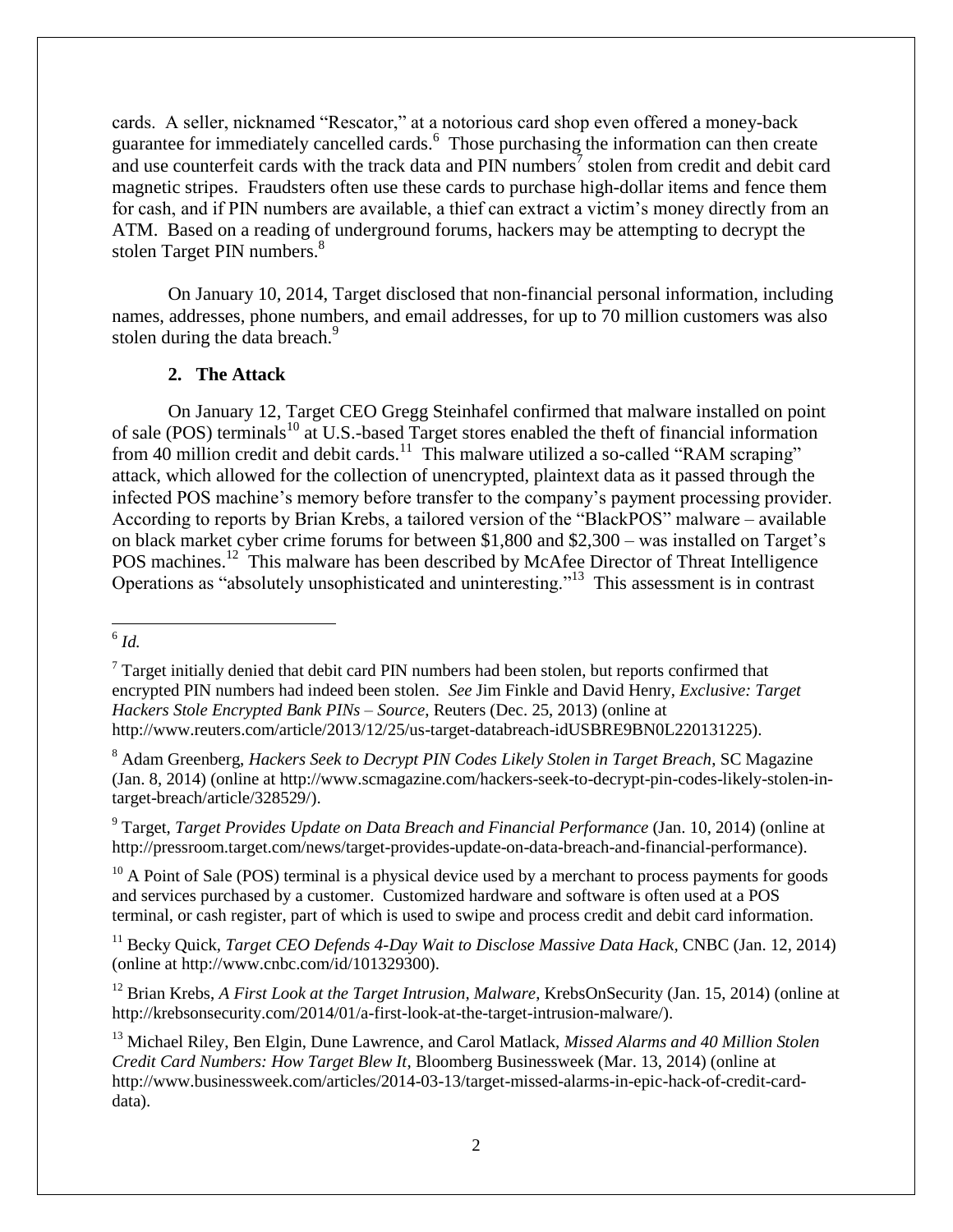cards. A seller, nicknamed "Rescator," at a notorious card shop even offered a money-back guarantee for immediately cancelled cards.<sup>6</sup> Those purchasing the information can then create and use counterfeit cards with the track data and  $\overline{PIN}$  numbers<sup>7</sup> stolen from credit and debit card magnetic stripes. Fraudsters often use these cards to purchase high-dollar items and fence them for cash, and if PIN numbers are available, a thief can extract a victim's money directly from an ATM. Based on a reading of underground forums, hackers may be attempting to decrypt the stolen Target PIN numbers.<sup>8</sup>

On January 10, 2014, Target disclosed that non-financial personal information, including names, addresses, phone numbers, and email addresses, for up to 70 million customers was also stolen during the data breach.<sup>9</sup>

#### **2. The Attack**

On January 12, Target CEO Gregg Steinhafel confirmed that malware installed on point of sale (POS) terminals<sup>10</sup> at U.S.-based Target stores enabled the theft of financial information from 40 million credit and debit cards.<sup>11</sup> This malware utilized a so-called "RAM scraping" attack, which allowed for the collection of unencrypted, plaintext data as it passed through the infected POS machine's memory before transfer to the company's payment processing provider. According to reports by Brian Krebs, a tailored version of the "BlackPOS" malware – available on black market cyber crime forums for between \$1,800 and \$2,300 – was installed on Target's POS machines.<sup>12</sup> This malware has been described by McAfee Director of Threat Intelligence Operations as "absolutely unsophisticated and uninteresting."<sup>13</sup> This assessment is in contrast

 $10$  A Point of Sale (POS) terminal is a physical device used by a merchant to process payments for goods and services purchased by a customer. Customized hardware and software is often used at a POS terminal, or cash register, part of which is used to swipe and process credit and debit card information.

<sup>11</sup> Becky Quick, *Target CEO Defends 4-Day Wait to Disclose Massive Data Hack*, CNBC (Jan. 12, 2014) (online at http://www.cnbc.com/id/101329300).

<sup>12</sup> Brian Krebs, *A First Look at the Target Intrusion, Malware*, KrebsOnSecurity (Jan. 15, 2014) (online at http://krebsonsecurity.com/2014/01/a-first-look-at-the-target-intrusion-malware/).

 6 *Id.*

 $7$  Target initially denied that debit card PIN numbers had been stolen, but reports confirmed that encrypted PIN numbers had indeed been stolen. *See* Jim Finkle and David Henry, *Exclusive: Target Hackers Stole Encrypted Bank PINs – Source*, Reuters (Dec. 25, 2013) (online at http://www.reuters.com/article/2013/12/25/us-target-databreach-idUSBRE9BN0L220131225).

<sup>8</sup> Adam Greenberg, *Hackers Seek to Decrypt PIN Codes Likely Stolen in Target Breach*, SC Magazine (Jan. 8, 2014) (online at http://www.scmagazine.com/hackers-seek-to-decrypt-pin-codes-likely-stolen-intarget-breach/article/328529/).

<sup>9</sup> Target, *Target Provides Update on Data Breach and Financial Performance* (Jan. 10, 2014) (online at http://pressroom.target.com/news/target-provides-update-on-data-breach-and-financial-performance).

<sup>13</sup> Michael Riley, Ben Elgin, Dune Lawrence, and Carol Matlack, *Missed Alarms and 40 Million Stolen Credit Card Numbers: How Target Blew It*, Bloomberg Businessweek (Mar. 13, 2014) (online at http://www.businessweek.com/articles/2014-03-13/target-missed-alarms-in-epic-hack-of-credit-carddata).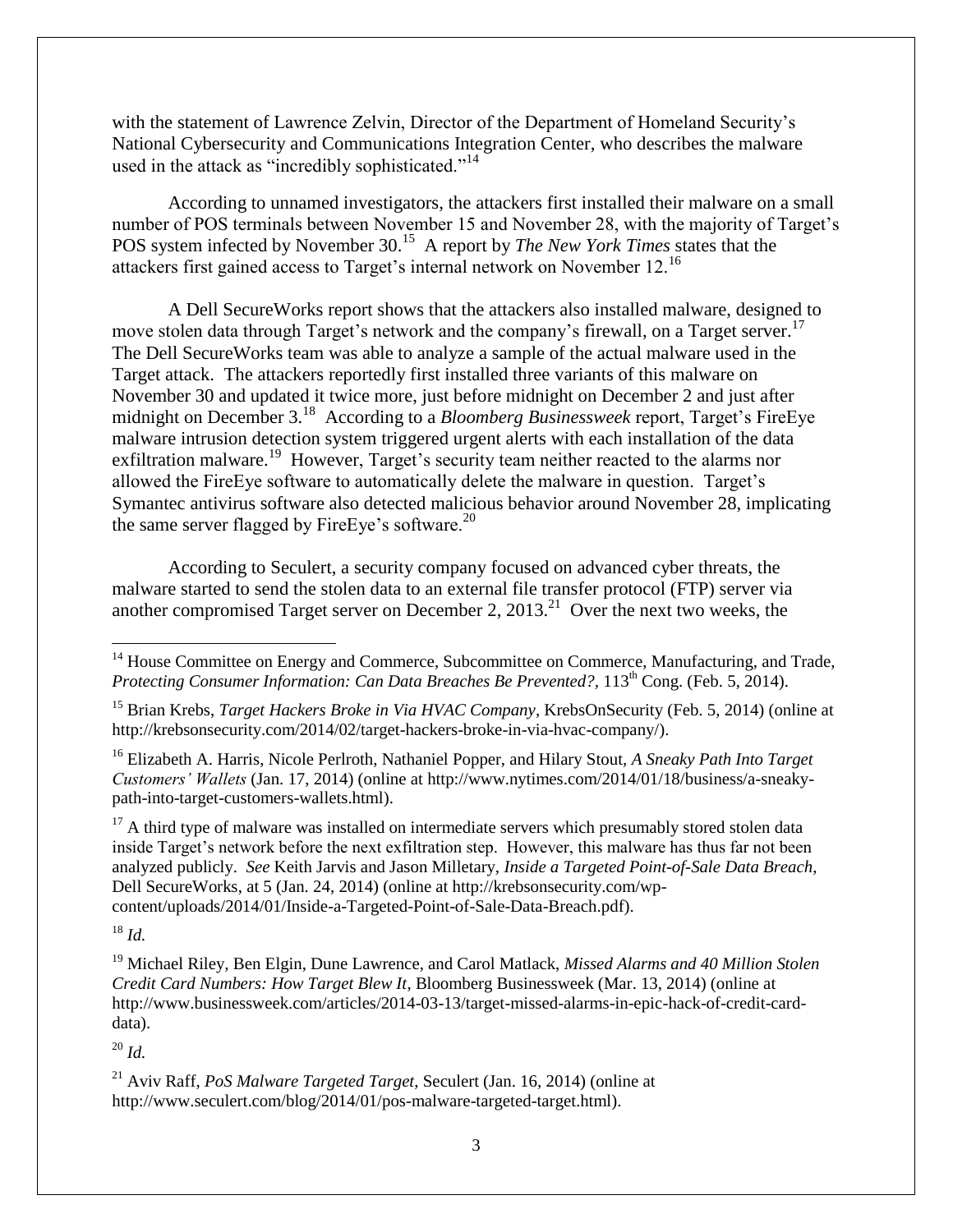with the statement of Lawrence Zelvin, Director of the Department of Homeland Security's National Cybersecurity and Communications Integration Center, who describes the malware used in the attack as "incredibly sophisticated."<sup>14</sup>

According to unnamed investigators, the attackers first installed their malware on a small number of POS terminals between November 15 and November 28, with the majority of Target's POS system infected by November 30.<sup>15</sup> A report by *The New York Times* states that the attackers first gained access to Target's internal network on November 12.<sup>16</sup>

A Dell SecureWorks report shows that the attackers also installed malware, designed to move stolen data through Target's network and the company's firewall, on a Target server.<sup>17</sup> The Dell SecureWorks team was able to analyze a sample of the actual malware used in the Target attack. The attackers reportedly first installed three variants of this malware on November 30 and updated it twice more, just before midnight on December 2 and just after midnight on December 3.<sup>18</sup> According to a *Bloomberg Businessweek* report, Target's FireEye malware intrusion detection system triggered urgent alerts with each installation of the data exfiltration malware.<sup>19</sup> However, Target's security team neither reacted to the alarms nor allowed the FireEye software to automatically delete the malware in question. Target's Symantec antivirus software also detected malicious behavior around November 28, implicating the same server flagged by FireEye's software.<sup>20</sup>

According to Seculert, a security company focused on advanced cyber threats, the malware started to send the stolen data to an external file transfer protocol (FTP) server via another compromised Target server on December 2,  $2013$ <sup>21</sup> Over the next two weeks, the

<sup>16</sup> Elizabeth A. Harris, Nicole Perlroth, Nathaniel Popper, and Hilary Stout, *A Sneaky Path Into Target Customers' Wallets* (Jan. 17, 2014) (online at http://www.nytimes.com/2014/01/18/business/a-sneakypath-into-target-customers-wallets.html).

 $17$  A third type of malware was installed on intermediate servers which presumably stored stolen data inside Target's network before the next exfiltration step. However, this malware has thus far not been analyzed publicly. *See* Keith Jarvis and Jason Milletary, *Inside a Targeted Point-of-Sale Data Breach*, Dell SecureWorks, at 5 (Jan. 24, 2014) (online at http://krebsonsecurity.com/wpcontent/uploads/2014/01/Inside-a-Targeted-Point-of-Sale-Data-Breach.pdf).

<sup>18</sup> *Id.*

 $\overline{\phantom{a}}$ 

<sup>20</sup> *Id.*

<sup>&</sup>lt;sup>14</sup> House Committee on Energy and Commerce, Subcommittee on Commerce, Manufacturing, and Trade, *Protecting Consumer Information: Can Data Breaches Be Prevented?, 113<sup>th</sup> Cong. (Feb. 5, 2014).* 

<sup>15</sup> Brian Krebs, *Target Hackers Broke in Via HVAC Company*, KrebsOnSecurity (Feb. 5, 2014) (online at http://krebsonsecurity.com/2014/02/target-hackers-broke-in-via-hvac-company/).

<sup>19</sup> Michael Riley, Ben Elgin, Dune Lawrence, and Carol Matlack, *Missed Alarms and 40 Million Stolen Credit Card Numbers: How Target Blew It*, Bloomberg Businessweek (Mar. 13, 2014) (online at http://www.businessweek.com/articles/2014-03-13/target-missed-alarms-in-epic-hack-of-credit-carddata).

<sup>21</sup> Aviv Raff, *PoS Malware Targeted Target*, Seculert (Jan. 16, 2014) (online at http://www.seculert.com/blog/2014/01/pos-malware-targeted-target.html).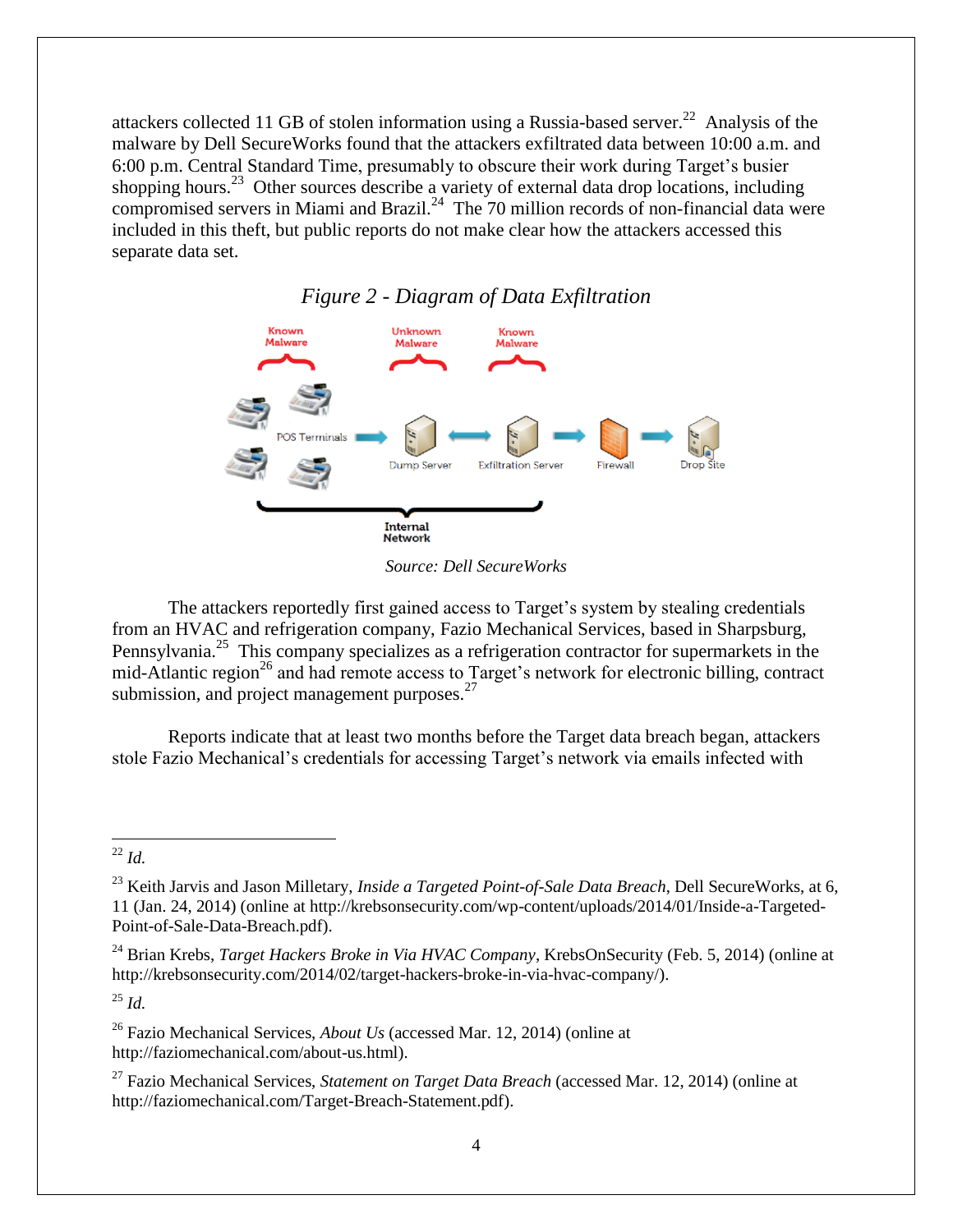attackers collected 11 GB of stolen information using a Russia-based server.<sup>22</sup> Analysis of the malware by Dell SecureWorks found that the attackers exfiltrated data between 10:00 a.m. and 6:00 p.m. Central Standard Time, presumably to obscure their work during Target's busier shopping hours.<sup>23</sup> Other sources describe a variety of external data drop locations, including compromised servers in Miami and Brazil. $^{24}$  The 70 million records of non-financial data were included in this theft, but public reports do not make clear how the attackers accessed this separate data set.



*Figure 2 - Diagram of Data Exfiltration*

The attackers reportedly first gained access to Target's system by stealing credentials from an HVAC and refrigeration company, Fazio Mechanical Services, based in Sharpsburg, Pennsylvania.<sup>25</sup> This company specializes as a refrigeration contractor for supermarkets in the mid-Atlantic region<sup>26</sup> and had remote access to Target's network for electronic billing, contract submission, and project management purposes.<sup>27</sup>

Reports indicate that at least two months before the Target data breach began, attackers stole Fazio Mechanical's credentials for accessing Target's network via emails infected with

<sup>25</sup> *Id.*

*Source: Dell SecureWorks*

l <sup>22</sup> *Id.*

<sup>23</sup> Keith Jarvis and Jason Milletary, *Inside a Targeted Point-of-Sale Data Breach*, Dell SecureWorks, at 6, 11 (Jan. 24, 2014) (online at http://krebsonsecurity.com/wp-content/uploads/2014/01/Inside-a-Targeted-Point-of-Sale-Data-Breach.pdf).

<sup>24</sup> Brian Krebs, *Target Hackers Broke in Via HVAC Company*, KrebsOnSecurity (Feb. 5, 2014) (online at http://krebsonsecurity.com/2014/02/target-hackers-broke-in-via-hvac-company/).

<sup>26</sup> Fazio Mechanical Services, *About Us* (accessed Mar. 12, 2014) (online at http://faziomechanical.com/about-us.html).

<sup>27</sup> Fazio Mechanical Services, *Statement on Target Data Breach* (accessed Mar. 12, 2014) (online at http://faziomechanical.com/Target-Breach-Statement.pdf).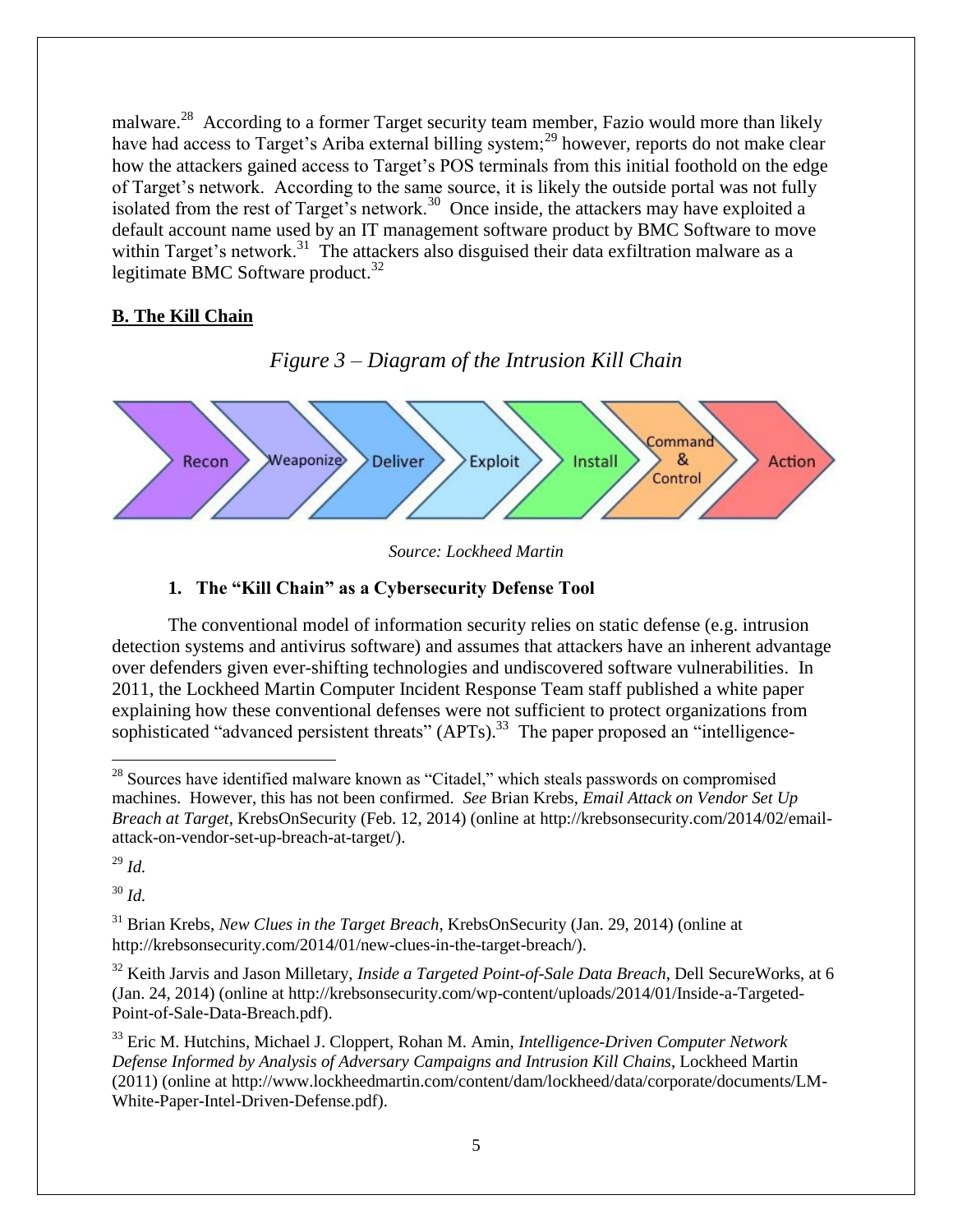malware.<sup>28</sup> According to a former Target security team member, Fazio would more than likely have had access to Target's Ariba external billing system;<sup>29</sup> however, reports do not make clear how the attackers gained access to Target's POS terminals from this initial foothold on the edge of Target's network. According to the same source, it is likely the outside portal was not fully isolated from the rest of Target's network.<sup>30</sup> Once inside, the attackers may have exploited a default account name used by an IT management software product by BMC Software to move within Target's network.<sup>31</sup> The attackers also disguised their data exfiltration malware as a legitimate BMC Software product. $32$ 

#### **B. The Kill Chain**

#### *Figure 3 – Diagram of the Intrusion Kill Chain*



*Source: Lockheed Martin*

#### **1. The "Kill Chain" as a Cybersecurity Defense Tool**

The conventional model of information security relies on static defense (e.g. intrusion detection systems and antivirus software) and assumes that attackers have an inherent advantage over defenders given ever-shifting technologies and undiscovered software vulnerabilities. In 2011, the Lockheed Martin Computer Incident Response Team staff published a white paper explaining how these conventional defenses were not sufficient to protect organizations from sophisticated "advanced persistent threats" (APTs).<sup>33</sup> The paper proposed an "intelligence-

 $^{29}$  *Id.* 

l

<sup>30</sup> *Id.*

<sup>31</sup> Brian Krebs, *New Clues in the Target Breach*, KrebsOnSecurity (Jan. 29, 2014) (online at http://krebsonsecurity.com/2014/01/new-clues-in-the-target-breach/).

<sup>32</sup> Keith Jarvis and Jason Milletary, *Inside a Targeted Point-of-Sale Data Breach*, Dell SecureWorks, at 6 (Jan. 24, 2014) (online at http://krebsonsecurity.com/wp-content/uploads/2014/01/Inside-a-Targeted-Point-of-Sale-Data-Breach.pdf).

<sup>33</sup> Eric M. Hutchins, Michael J. Cloppert, Rohan M. Amin, *Intelligence-Driven Computer Network Defense Informed by Analysis of Adversary Campaigns and Intrusion Kill Chains*, Lockheed Martin (2011) (online at http://www.lockheedmartin.com/content/dam/lockheed/data/corporate/documents/LM-White-Paper-Intel-Driven-Defense.pdf).

<sup>&</sup>lt;sup>28</sup> Sources have identified malware known as "Citadel," which steals passwords on compromised machines. However, this has not been confirmed. *See* Brian Krebs, *Email Attack on Vendor Set Up Breach at Target*, KrebsOnSecurity (Feb. 12, 2014) (online at http://krebsonsecurity.com/2014/02/emailattack-on-vendor-set-up-breach-at-target/).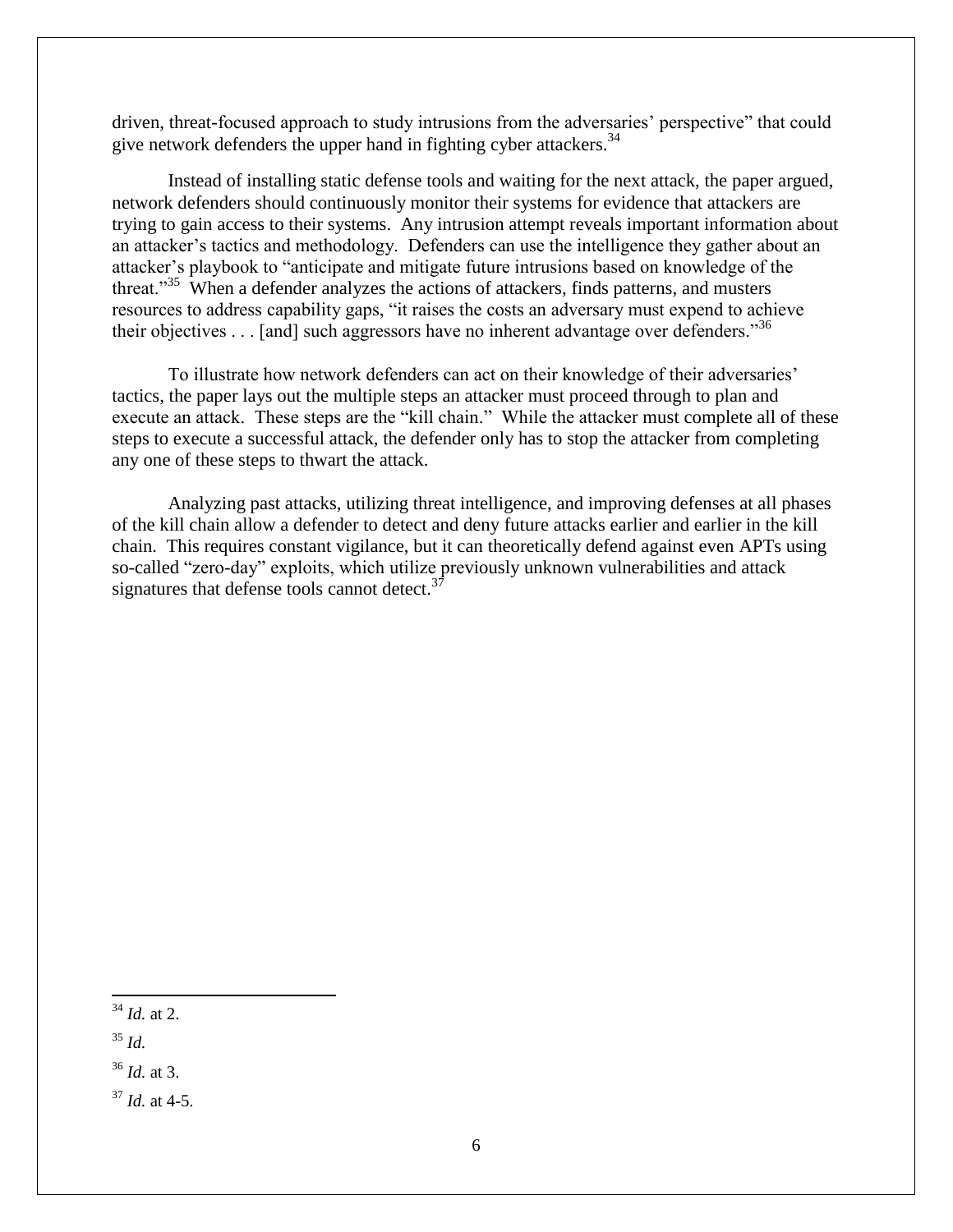driven, threat-focused approach to study intrusions from the adversaries' perspective" that could give network defenders the upper hand in fighting cyber attackers.<sup>34</sup>

Instead of installing static defense tools and waiting for the next attack, the paper argued, network defenders should continuously monitor their systems for evidence that attackers are trying to gain access to their systems. Any intrusion attempt reveals important information about an attacker's tactics and methodology. Defenders can use the intelligence they gather about an attacker's playbook to "anticipate and mitigate future intrusions based on knowledge of the threat."<sup>35</sup> When a defender analyzes the actions of attackers, finds patterns, and musters resources to address capability gaps, "it raises the costs an adversary must expend to achieve their objectives . . . [and] such aggressors have no inherent advantage over defenders."<sup>36</sup>

To illustrate how network defenders can act on their knowledge of their adversaries' tactics, the paper lays out the multiple steps an attacker must proceed through to plan and execute an attack. These steps are the "kill chain." While the attacker must complete all of these steps to execute a successful attack, the defender only has to stop the attacker from completing any one of these steps to thwart the attack.

Analyzing past attacks, utilizing threat intelligence, and improving defenses at all phases of the kill chain allow a defender to detect and deny future attacks earlier and earlier in the kill chain. This requires constant vigilance, but it can theoretically defend against even APTs using so-called "zero-day" exploits, which utilize previously unknown vulnerabilities and attack signatures that defense tools cannot detect. $3^7$ 

l <sup>34</sup> *Id.* at 2.

<sup>35</sup> *Id.*

<sup>36</sup> *Id.* at 3.

<sup>37</sup> *Id.* at 4-5.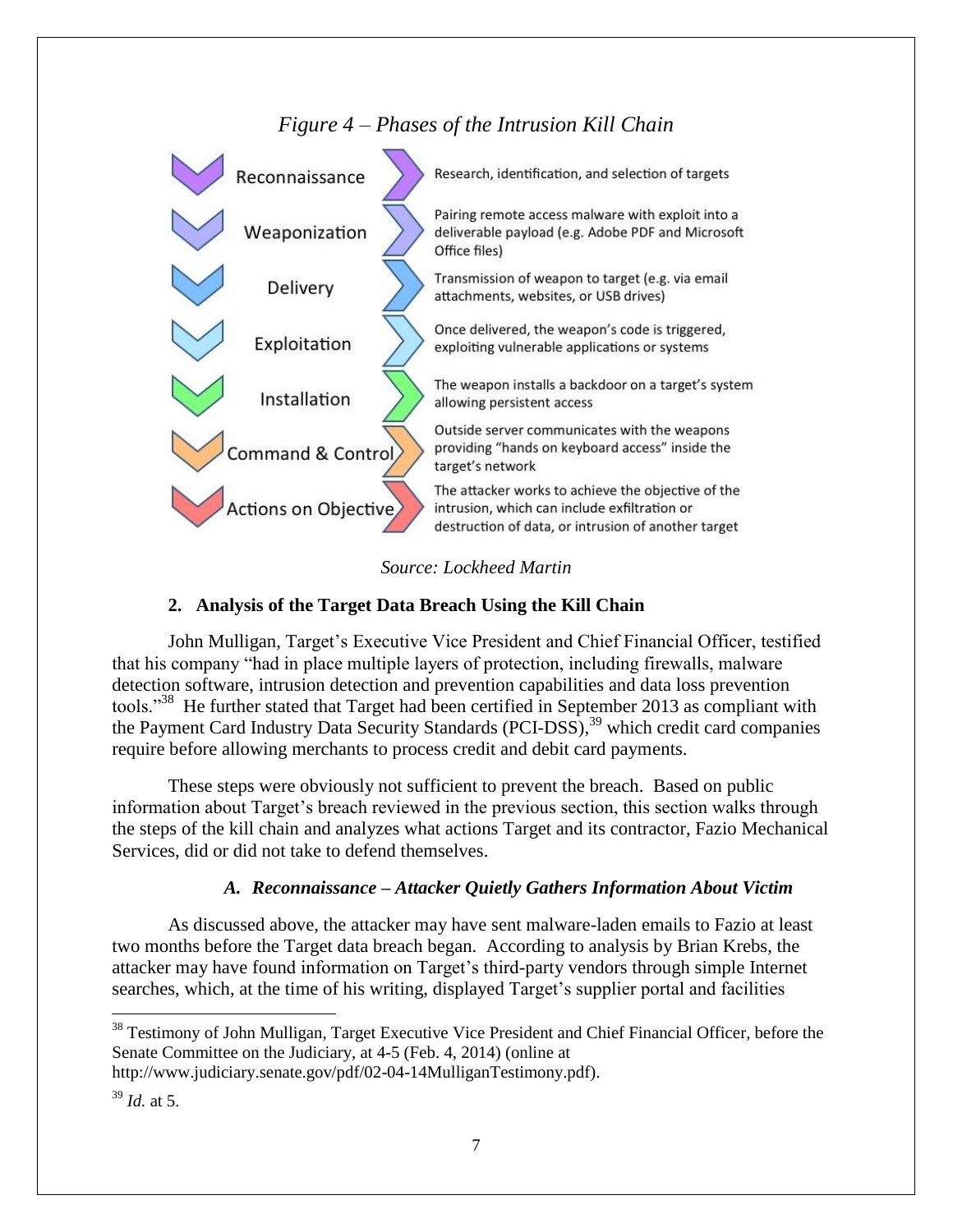





#### **2. Analysis of the Target Data Breach Using the Kill Chain**

John Mulligan, Target's Executive Vice President and Chief Financial Officer, testified that his company "had in place multiple layers of protection, including firewalls, malware detection software, intrusion detection and prevention capabilities and data loss prevention tools."<sup>38</sup> He further stated that Target had been certified in September 2013 as compliant with the Payment Card Industry Data Security Standards (PCI-DSS),<sup>39</sup> which credit card companies require before allowing merchants to process credit and debit card payments.

These steps were obviously not sufficient to prevent the breach. Based on public information about Target's breach reviewed in the previous section, this section walks through the steps of the kill chain and analyzes what actions Target and its contractor, Fazio Mechanical Services, did or did not take to defend themselves.

#### *A. Reconnaissance – Attacker Quietly Gathers Information About Victim*

As discussed above, the attacker may have sent malware-laden emails to Fazio at least two months before the Target data breach began. According to analysis by Brian Krebs, the attacker may have found information on Target's third-party vendors through simple Internet searches, which, at the time of his writing, displayed Target's supplier portal and facilities

l

<sup>&</sup>lt;sup>38</sup> Testimony of John Mulligan, Target Executive Vice President and Chief Financial Officer, before the Senate Committee on the Judiciary, at 4-5 (Feb. 4, 2014) (online at http://www.judiciary.senate.gov/pdf/02-04-14MulliganTestimony.pdf).

 $39$  *Id.* at 5.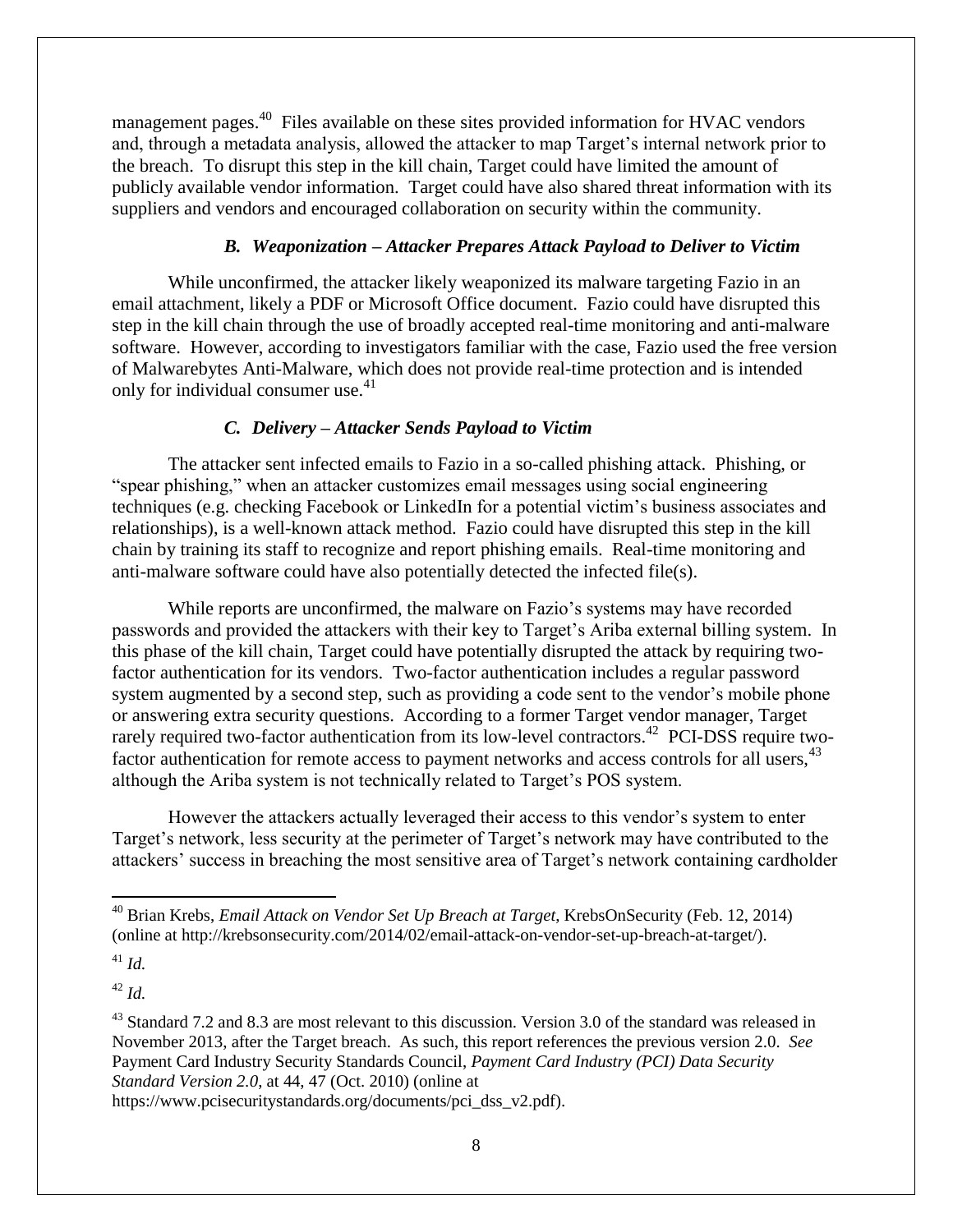management pages.<sup>40</sup> Files available on these sites provided information for HVAC vendors and, through a metadata analysis, allowed the attacker to map Target's internal network prior to the breach. To disrupt this step in the kill chain, Target could have limited the amount of publicly available vendor information. Target could have also shared threat information with its suppliers and vendors and encouraged collaboration on security within the community.

#### *B. Weaponization – Attacker Prepares Attack Payload to Deliver to Victim*

While unconfirmed, the attacker likely weaponized its malware targeting Fazio in an email attachment, likely a PDF or Microsoft Office document. Fazio could have disrupted this step in the kill chain through the use of broadly accepted real-time monitoring and anti-malware software. However, according to investigators familiar with the case, Fazio used the free version of Malwarebytes Anti-Malware, which does not provide real-time protection and is intended only for individual consumer use. $41$ 

#### *C. Delivery – Attacker Sends Payload to Victim*

The attacker sent infected emails to Fazio in a so-called phishing attack. Phishing, or "spear phishing," when an attacker customizes email messages using social engineering techniques (e.g. checking Facebook or LinkedIn for a potential victim's business associates and relationships), is a well-known attack method. Fazio could have disrupted this step in the kill chain by training its staff to recognize and report phishing emails. Real-time monitoring and anti-malware software could have also potentially detected the infected file(s).

While reports are unconfirmed, the malware on Fazio's systems may have recorded passwords and provided the attackers with their key to Target's Ariba external billing system. In this phase of the kill chain, Target could have potentially disrupted the attack by requiring twofactor authentication for its vendors. Two-factor authentication includes a regular password system augmented by a second step, such as providing a code sent to the vendor's mobile phone or answering extra security questions. According to a former Target vendor manager, Target rarely required two-factor authentication from its low-level contractors.<sup>42</sup> PCI-DSS require twofactor authentication for remote access to payment networks and access controls for all users, <sup>43</sup> although the Ariba system is not technically related to Target's POS system.

However the attackers actually leveraged their access to this vendor's system to enter Target's network, less security at the perimeter of Target's network may have contributed to the attackers' success in breaching the most sensitive area of Target's network containing cardholder

 $^{41}$  *Id.* 

 $\overline{\phantom{a}}$ 

<sup>42</sup> *Id.*

<sup>43</sup> Standard 7.2 and 8.3 are most relevant to this discussion. Version 3.0 of the standard was released in November 2013, after the Target breach. As such, this report references the previous version 2.0. *See* Payment Card Industry Security Standards Council, *Payment Card Industry (PCI) Data Security Standard Version 2.0*, at 44, 47 (Oct. 2010) (online at

https://www.pcisecuritystandards.org/documents/pci\_dss\_v2.pdf).

<sup>40</sup> Brian Krebs, *Email Attack on Vendor Set Up Breach at Target*, KrebsOnSecurity (Feb. 12, 2014) (online at http://krebsonsecurity.com/2014/02/email-attack-on-vendor-set-up-breach-at-target/).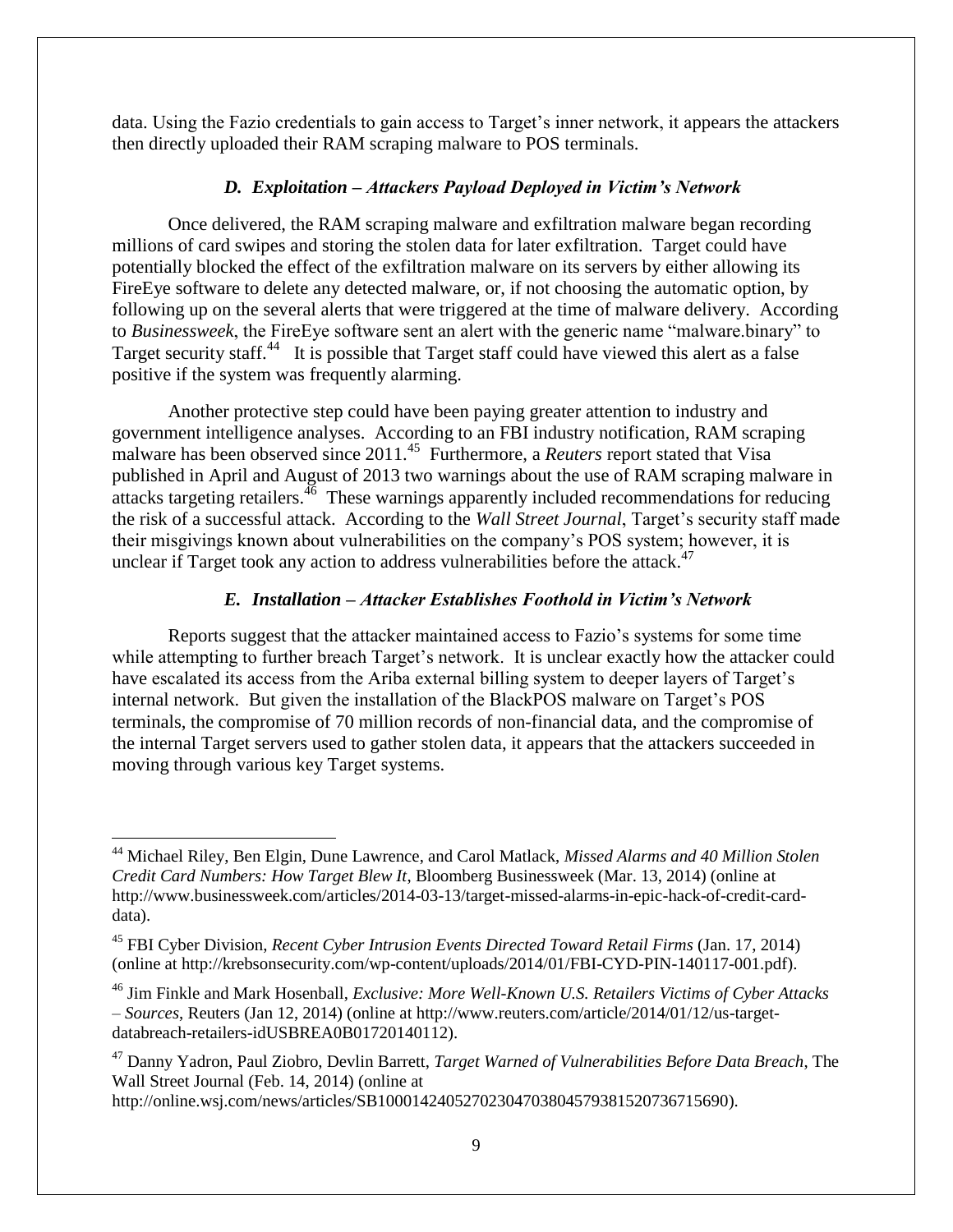data. Using the Fazio credentials to gain access to Target's inner network, it appears the attackers then directly uploaded their RAM scraping malware to POS terminals.

#### *D. Exploitation – Attackers Payload Deployed in Victim's Network*

Once delivered, the RAM scraping malware and exfiltration malware began recording millions of card swipes and storing the stolen data for later exfiltration. Target could have potentially blocked the effect of the exfiltration malware on its servers by either allowing its FireEye software to delete any detected malware, or, if not choosing the automatic option, by following up on the several alerts that were triggered at the time of malware delivery. According to *Businessweek*, the FireEye software sent an alert with the generic name "malware.binary" to Target security staff.<sup>44</sup> It is possible that Target staff could have viewed this alert as a false positive if the system was frequently alarming.

Another protective step could have been paying greater attention to industry and government intelligence analyses. According to an FBI industry notification, RAM scraping malware has been observed since 2011.<sup>45</sup> Furthermore, a *Reuters* report stated that Visa published in April and August of 2013 two warnings about the use of RAM scraping malware in attacks targeting retailers.<sup>46</sup> These warnings apparently included recommendations for reducing the risk of a successful attack. According to the *Wall Street Journal*, Target's security staff made their misgivings known about vulnerabilities on the company's POS system; however, it is unclear if Target took any action to address vulnerabilities before the attack. $47$ 

#### *E. Installation – Attacker Establishes Foothold in Victim's Network*

Reports suggest that the attacker maintained access to Fazio's systems for some time while attempting to further breach Target's network. It is unclear exactly how the attacker could have escalated its access from the Ariba external billing system to deeper layers of Target's internal network. But given the installation of the BlackPOS malware on Target's POS terminals, the compromise of 70 million records of non-financial data, and the compromise of the internal Target servers used to gather stolen data, it appears that the attackers succeeded in moving through various key Target systems.

l

<sup>44</sup> Michael Riley, Ben Elgin, Dune Lawrence, and Carol Matlack, *Missed Alarms and 40 Million Stolen Credit Card Numbers: How Target Blew It*, Bloomberg Businessweek (Mar. 13, 2014) (online at http://www.businessweek.com/articles/2014-03-13/target-missed-alarms-in-epic-hack-of-credit-carddata).

<sup>45</sup> FBI Cyber Division, *Recent Cyber Intrusion Events Directed Toward Retail Firms* (Jan. 17, 2014) (online at http://krebsonsecurity.com/wp-content/uploads/2014/01/FBI-CYD-PIN-140117-001.pdf).

<sup>46</sup> Jim Finkle and Mark Hosenball, *Exclusive: More Well-Known U.S. Retailers Victims of Cyber Attacks – Sources*, Reuters (Jan 12, 2014) (online at http://www.reuters.com/article/2014/01/12/us-targetdatabreach-retailers-idUSBREA0B01720140112).

<sup>47</sup> Danny Yadron, Paul Ziobro, Devlin Barrett, *Target Warned of Vulnerabilities Before Data Breach*, The Wall Street Journal (Feb. 14, 2014) (online at

http://online.wsj.com/news/articles/SB10001424052702304703804579381520736715690).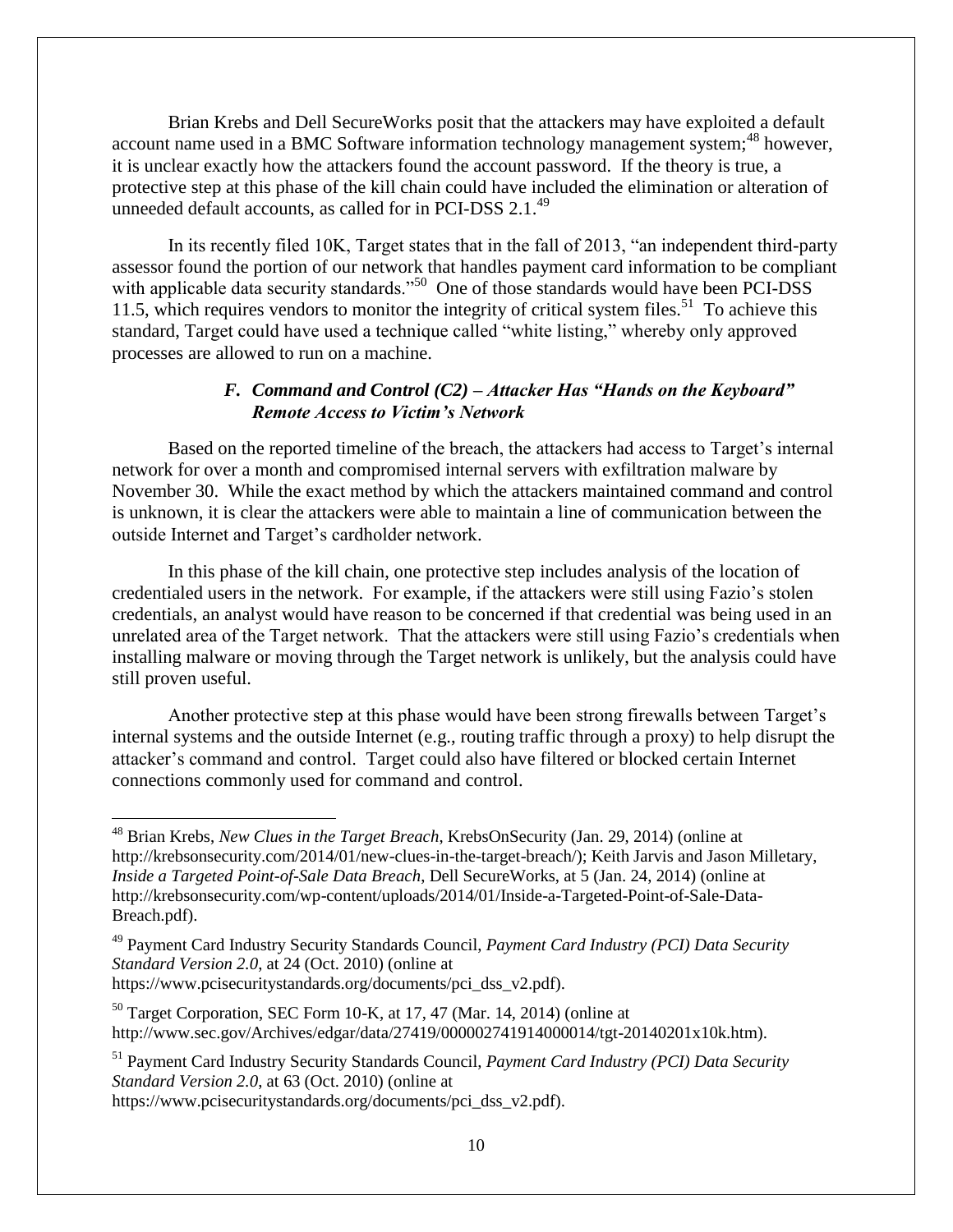Brian Krebs and Dell SecureWorks posit that the attackers may have exploited a default account name used in a BMC Software information technology management system;<sup>48</sup> however, it is unclear exactly how the attackers found the account password. If the theory is true, a protective step at this phase of the kill chain could have included the elimination or alteration of unneeded default accounts, as called for in PCI-DSS 2.1.<sup>49</sup>

In its recently filed 10K, Target states that in the fall of 2013, "an independent third-party assessor found the portion of our network that handles payment card information to be compliant with applicable data security standards."<sup>50</sup> One of those standards would have been PCI-DSS 11.5, which requires vendors to monitor the integrity of critical system files.<sup>51</sup> To achieve this standard, Target could have used a technique called "white listing," whereby only approved processes are allowed to run on a machine.

#### *F. Command and Control (C2) – Attacker Has "Hands on the Keyboard" Remote Access to Victim's Network*

Based on the reported timeline of the breach, the attackers had access to Target's internal network for over a month and compromised internal servers with exfiltration malware by November 30. While the exact method by which the attackers maintained command and control is unknown, it is clear the attackers were able to maintain a line of communication between the outside Internet and Target's cardholder network.

In this phase of the kill chain, one protective step includes analysis of the location of credentialed users in the network. For example, if the attackers were still using Fazio's stolen credentials, an analyst would have reason to be concerned if that credential was being used in an unrelated area of the Target network. That the attackers were still using Fazio's credentials when installing malware or moving through the Target network is unlikely, but the analysis could have still proven useful.

Another protective step at this phase would have been strong firewalls between Target's internal systems and the outside Internet (e.g., routing traffic through a proxy) to help disrupt the attacker's command and control.Target could also have filtered or blocked certain Internet connections commonly used for command and control.

 $\overline{\phantom{a}}$ 

<sup>51</sup> Payment Card Industry Security Standards Council, *Payment Card Industry (PCI) Data Security Standard Version 2.0*, at 63 (Oct. 2010) (online at https://www.pcisecuritystandards.org/documents/pci\_dss\_v2.pdf).

<sup>48</sup> Brian Krebs, *New Clues in the Target Breach*, KrebsOnSecurity (Jan. 29, 2014) (online at http://krebsonsecurity.com/2014/01/new-clues-in-the-target-breach/); Keith Jarvis and Jason Milletary, *Inside a Targeted Point-of-Sale Data Breach*, Dell SecureWorks, at 5 (Jan. 24, 2014) (online at http://krebsonsecurity.com/wp-content/uploads/2014/01/Inside-a-Targeted-Point-of-Sale-Data-Breach.pdf).

<sup>49</sup> Payment Card Industry Security Standards Council, *Payment Card Industry (PCI) Data Security Standard Version 2.0*, at 24 (Oct. 2010) (online at https://www.pcisecuritystandards.org/documents/pci\_dss\_v2.pdf).

 $50$  Target Corporation, SEC Form 10-K, at 17, 47 (Mar. 14, 2014) (online at http://www.sec.gov/Archives/edgar/data/27419/000002741914000014/tgt-20140201x10k.htm).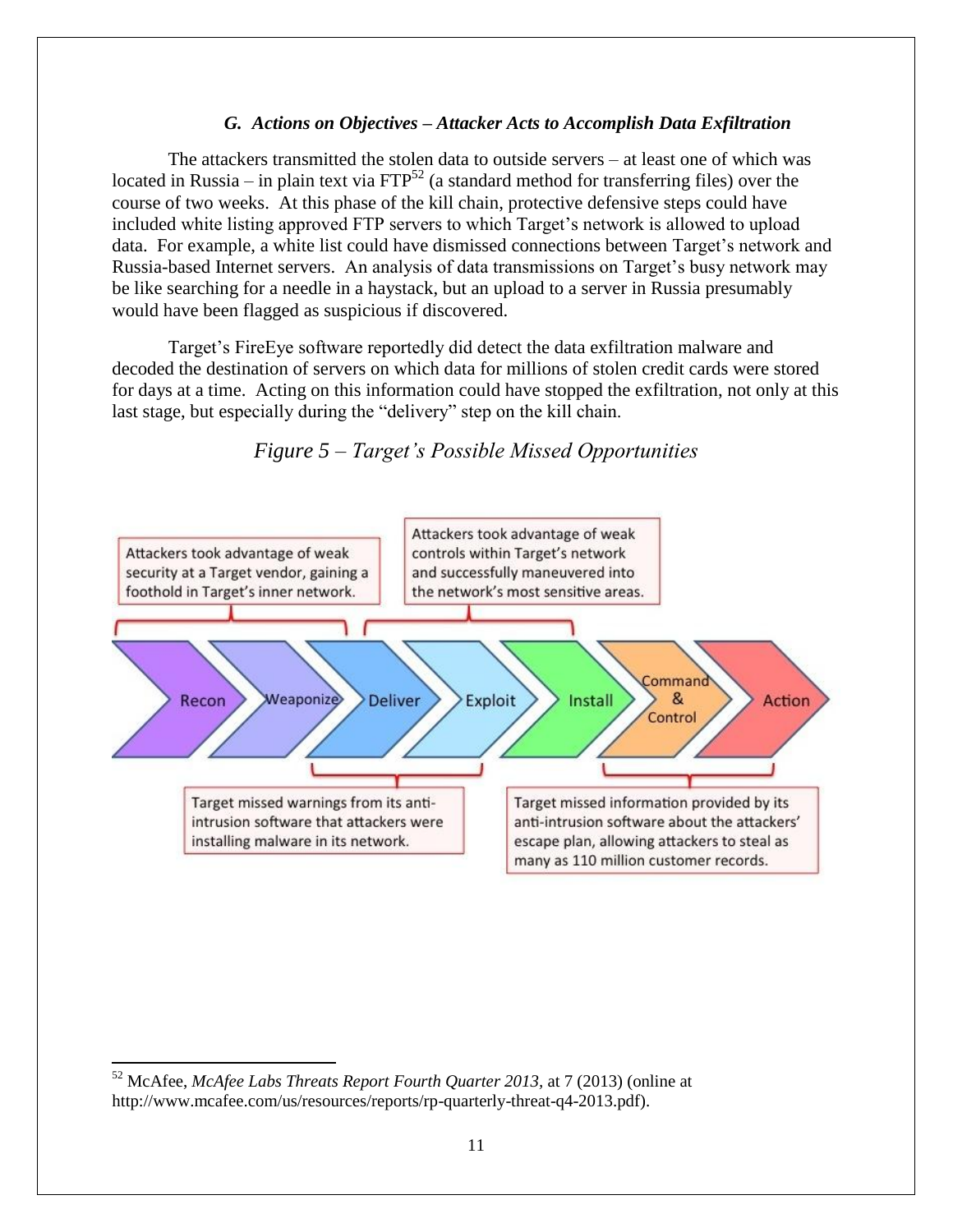#### *G. Actions on Objectives – Attacker Acts to Accomplish Data Exfiltration*

The attackers transmitted the stolen data to outside servers – at least one of which was located in Russia – in plain text via  $FTP^{52}$  (a standard method for transferring files) over the course of two weeks. At this phase of the kill chain, protective defensive steps could have included white listing approved FTP servers to which Target's network is allowed to upload data. For example, a white list could have dismissed connections between Target's network and Russia-based Internet servers. An analysis of data transmissions on Target's busy network may be like searching for a needle in a haystack, but an upload to a server in Russia presumably would have been flagged as suspicious if discovered.

Target's FireEye software reportedly did detect the data exfiltration malware and decoded the destination of servers on which data for millions of stolen credit cards were stored for days at a time. Acting on this information could have stopped the exfiltration, not only at this last stage, but especially during the "delivery" step on the kill chain.



*Figure 5 – Target's Possible Missed Opportunities*

 $\overline{\phantom{a}}$ 

<sup>52</sup> McAfee, *McAfee Labs Threats Report Fourth Quarter 2013,* at 7 (2013) (online at http://www.mcafee.com/us/resources/reports/rp-quarterly-threat-q4-2013.pdf).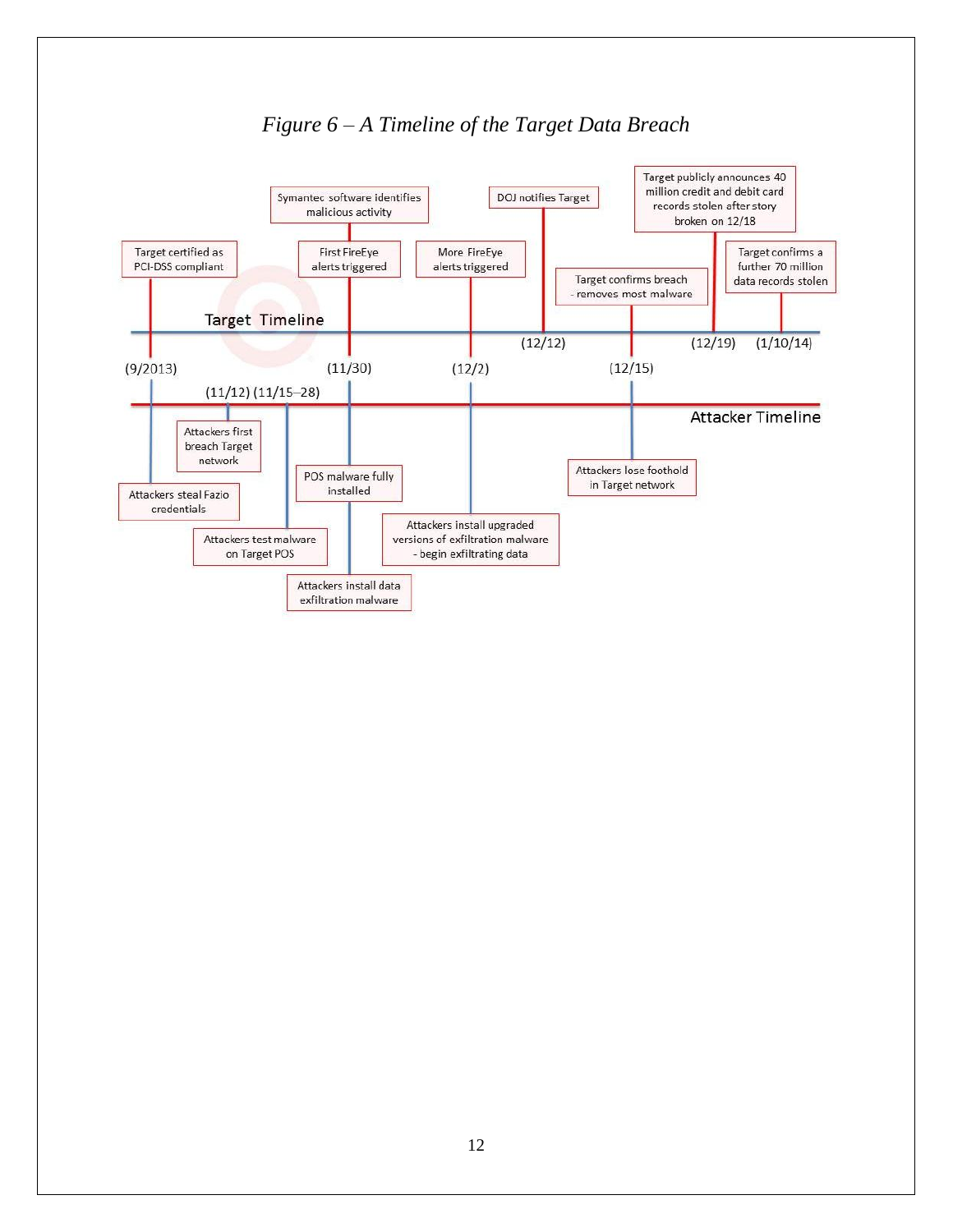

#### *Figure 6 – A Timeline of the Target Data Breach*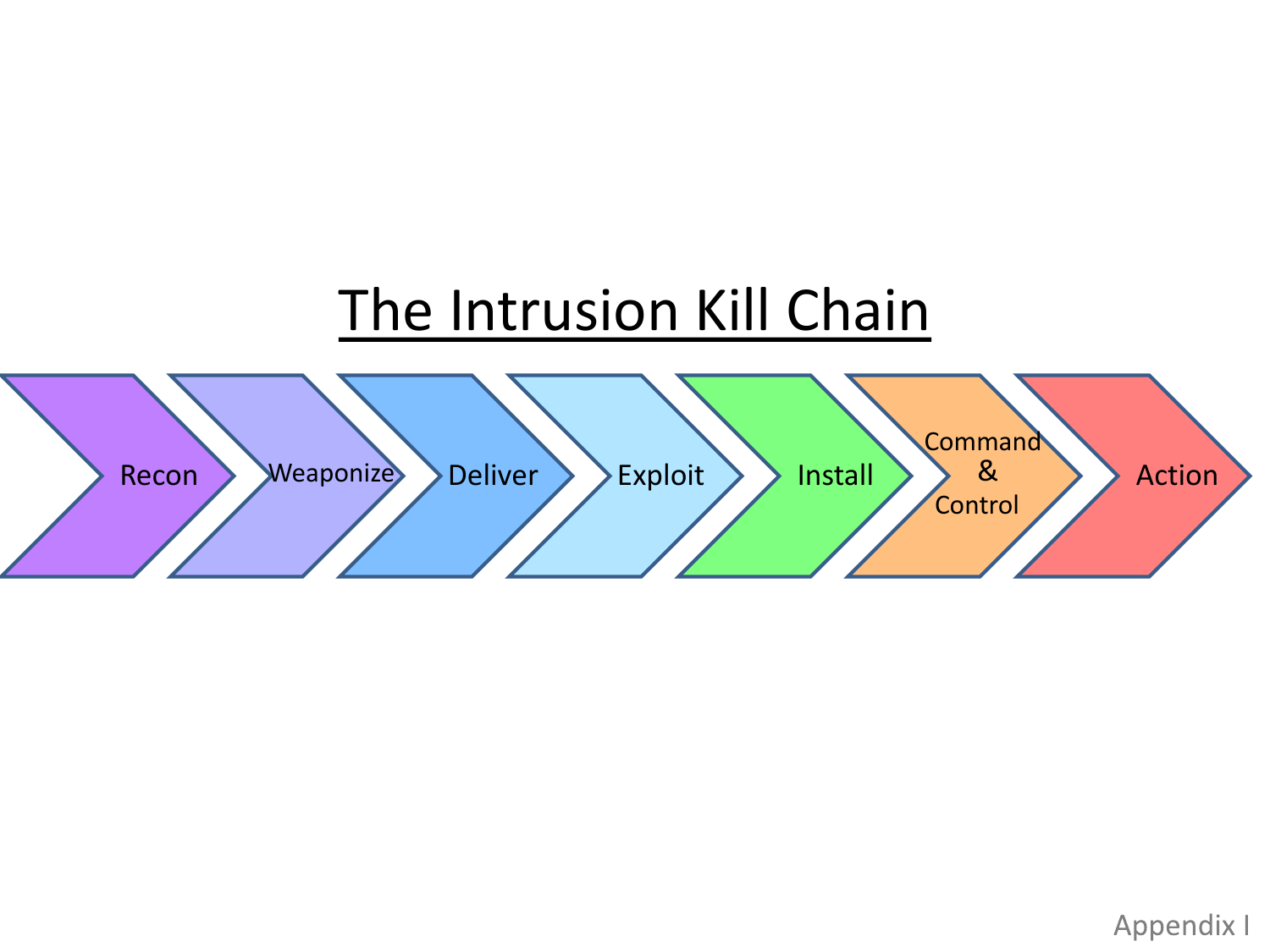

Appendix I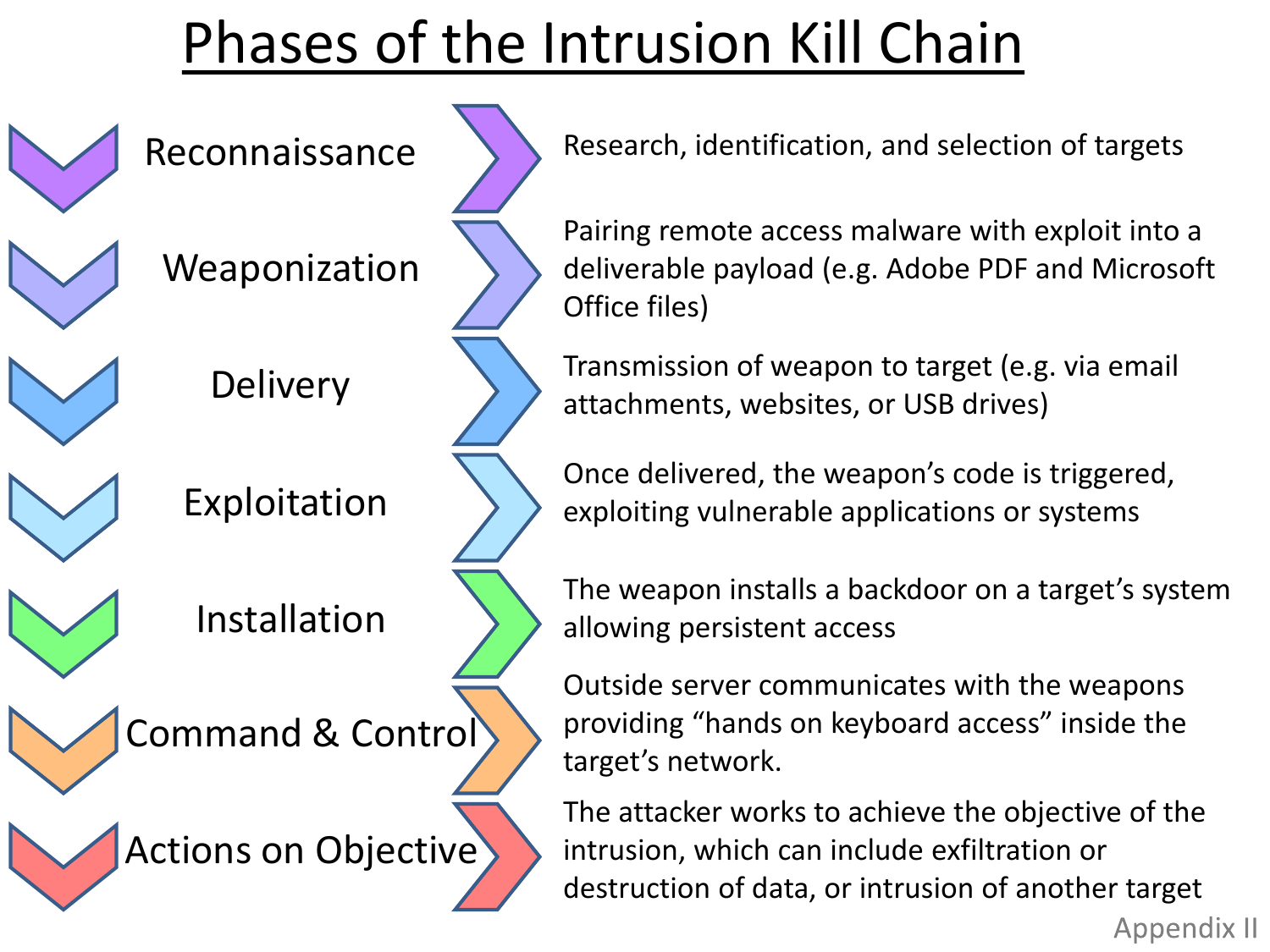### Phases of the Intrusion Kill Chain

Reconnaissance

Weaponization

**Delivery** 



Installation

Command & Control



Research, identification, and selection of targets

Pairing remote access malware with exploit into a deliverable payload (e.g. Adobe PDF and Microsoft Office files)

Transmission of weapon to target (e.g. via email attachments, websites, or USB drives)

Once delivered, the weapon's code is triggered, exploiting vulnerable applications or systems

The weapon installs a backdoor on a target's system allowing persistent access

Outside server communicates with the weapons providing "hands on keyboard access" inside the target's network.

The attacker works to achieve the objective of the intrusion, which can include exfiltration or destruction of data, or intrusion of another target

**Appendix II**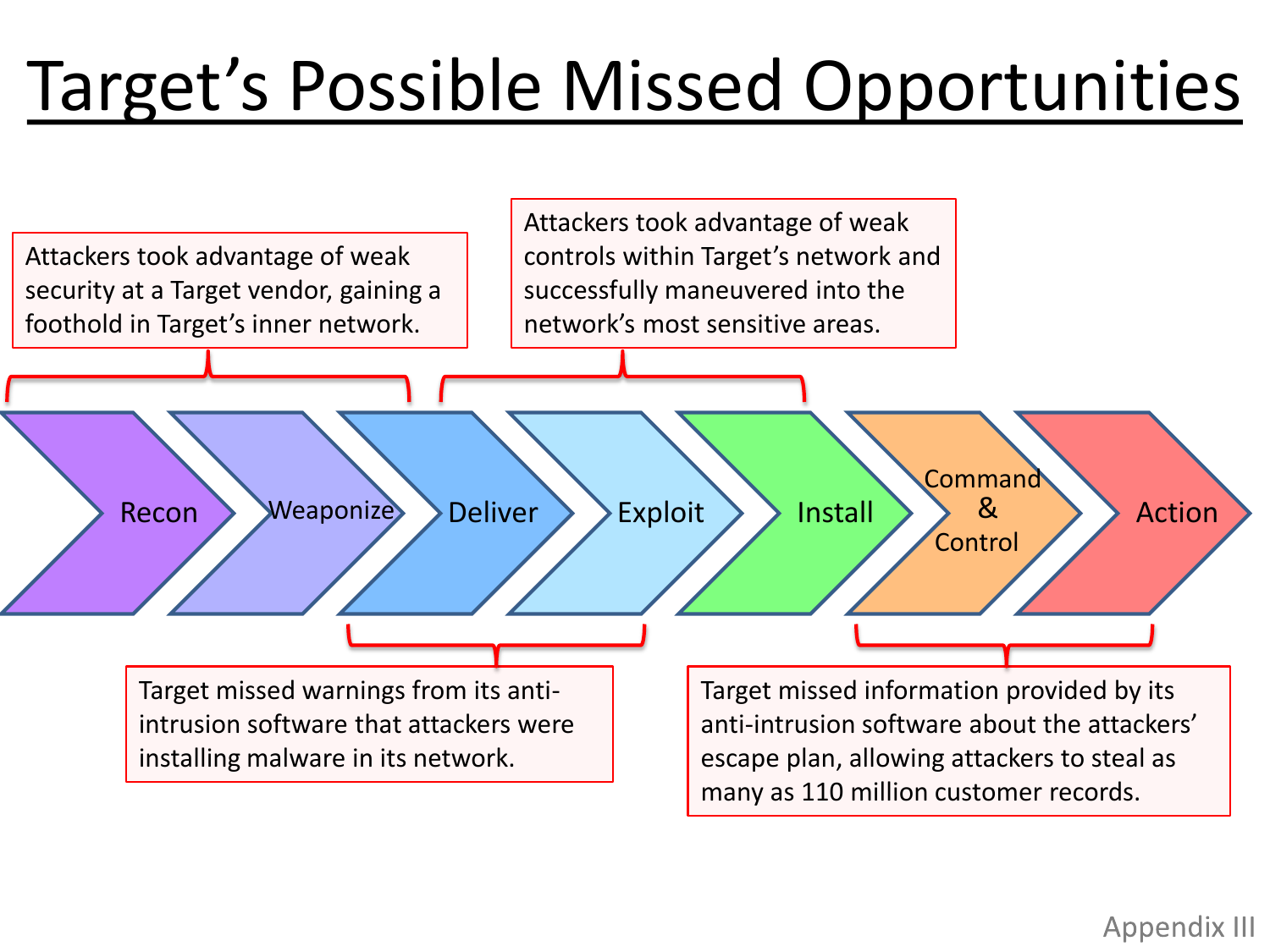# Target's Possible Missed Opportunities



#### Appendix III